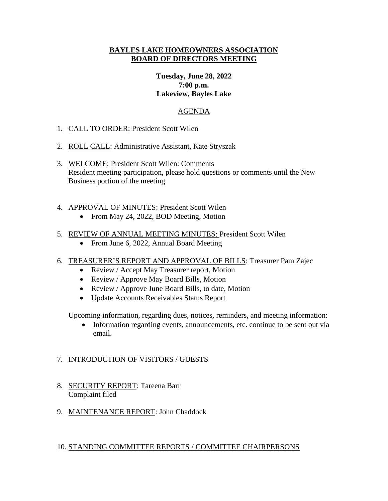### **BAYLES LAKE HOMEOWNERS ASSOCIATION BOARD OF DIRECTORS MEETING**

# **Tuesday, June 28, 2022 7:00 p.m. Lakeview, Bayles Lake**

### AGENDA

- 1. CALL TO ORDER: President Scott Wilen
- 2. ROLL CALL: Administrative Assistant, Kate Stryszak
- 3. WELCOME: President Scott Wilen: Comments Resident meeting participation, please hold questions or comments until the New Business portion of the meeting
- 4. APPROVAL OF MINUTES: President Scott Wilen
	- From May 24, 2022, BOD Meeting, Motion
- 5. REVIEW OF ANNUAL MEETING MINUTES: President Scott Wilen
	- From June 6, 2022, Annual Board Meeting
- 6. TREASURER'S REPORT AND APPROVAL OF BILLS: Treasurer Pam Zajec
	- Review / Accept May Treasurer report, Motion
	- Review / Approve May Board Bills, Motion
	- Review / Approve June Board Bills, to date, Motion
	- Update Accounts Receivables Status Report

Upcoming information, regarding dues, notices, reminders, and meeting information:

• Information regarding events, announcements, etc. continue to be sent out via email.

# 7. INTRODUCTION OF VISITORS / GUESTS

- 8. SECURITY REPORT: Tareena Barr Complaint filed
- 9. MAINTENANCE REPORT: John Chaddock

# 10. STANDING COMMITTEE REPORTS / COMMITTEE CHAIRPERSONS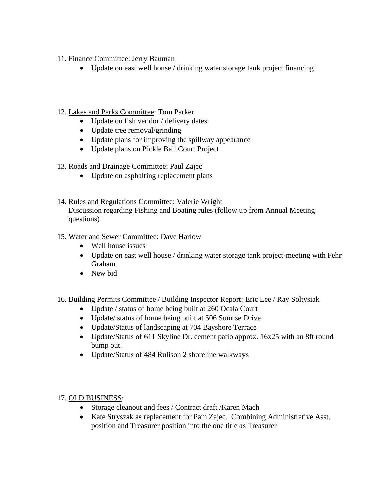- 11. Finance Committee: Jerry Bauman
	- Update on east well house / drinking water storage tank project financing
- 12. Lakes and Parks Committee: Tom Parker
	- Update on fish vendor / delivery dates
	- Update tree removal/grinding
	- Update plans for improving the spillway appearance
	- Update plans on Pickle Ball Court Project
- 13. Roads and Drainage Committee: Paul Zajec
	- Update on asphalting replacement plans
- 14. Rules and Regulations Committee: Valerie Wright Discussion regarding Fishing and Boating rules (follow up from Annual Meeting questions)
- 15. Water and Sewer Committee: Dave Harlow
	- Well house issues
	- Update on east well house / drinking water storage tank project-meeting with Fehr Graham
	- New bid
- 16. Building Permits Committee / Building Inspector Report: Eric Lee / Ray Soltysiak
	- Update / status of home being built at 260 Ocala Court
	- Update/ status of home being built at 506 Sunrise Drive
	- Update/Status of landscaping at 704 Bayshore Terrace
	- Update/Status of 611 Skyline Dr. cement patio approx. 16x25 with an 8ft round bump out.
	- Update/Status of 484 Rulison 2 shoreline walkways

# 17. OLD BUSINESS:

- Storage cleanout and fees / Contract draft /Karen Mach
- Kate Stryszak as replacement for Pam Zajec. Combining Administrative Asst. position and Treasurer position into the one title as Treasurer